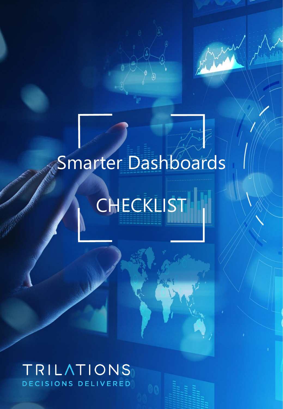

## Smarter Dashboards

**CHECKLIST** 

## TRILATIONS DECISIONS DELIVERED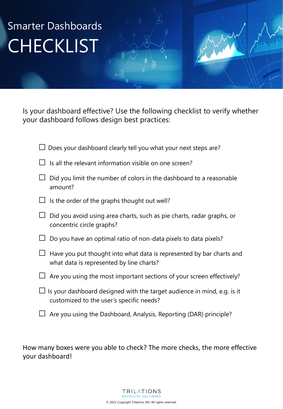## Smarter Dashboards **CHECKLIST**

Is your dashboard effective? Use the following checklist to verify whether your dashboard follows design best practices:

|         | $\Box$ Does your dashboard clearly tell you what your next steps are?                                                      |
|---------|----------------------------------------------------------------------------------------------------------------------------|
| $\perp$ | Is all the relevant information visible on one screen?                                                                     |
|         | Did you limit the number of colors in the dashboard to a reasonable<br>amount?                                             |
| $\Box$  | Is the order of the graphs thought out well?                                                                               |
|         | Did you avoid using area charts, such as pie charts, radar graphs, or<br>concentric circle graphs?                         |
|         | Do you have an optimal ratio of non-data pixels to data pixels?                                                            |
| $\Box$  | Have you put thought into what data is represented by bar charts and<br>what data is represented by line charts?           |
|         | $\Box$ Are you using the most important sections of your screen effectively?                                               |
|         | $\Box$ Is your dashboard designed with the target audience in mind, e.g. is it<br>customized to the user's specific needs? |
|         | $\Box$ Are you using the Dashboard, Analysis, Reporting (DAR) principle?                                                   |

How many boxes were you able to check? The more checks, the more effective your dashboard!

> **TRILATIONS DECISIONS DELIVERED** © 2022 Copyright Trilations NV. All rights reserved.